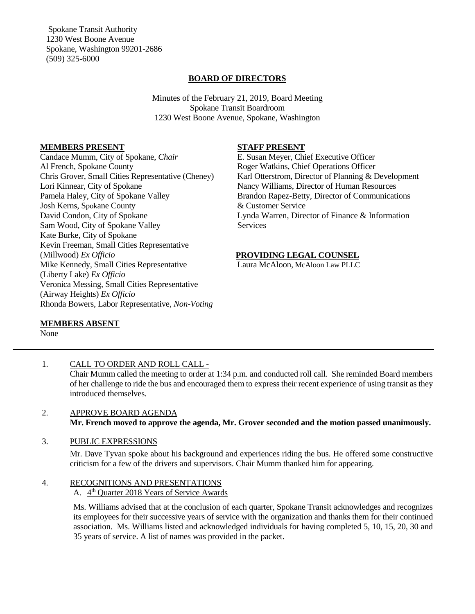Spokane Transit Authority 1230 West Boone Avenue Spokane, Washington 99201-2686 (509) 325-6000

## **BOARD OF DIRECTORS**

Minutes of the February 21, 2019, Board Meeting Spokane Transit Boardroom 1230 West Boone Avenue, Spokane, Washington

### **MEMBERS PRESENT**

Candace Mumm, City of Spokane, *Chair* Al French, Spokane County Chris Grover, Small Cities Representative (Cheney) Lori Kinnear, City of Spokane Pamela Haley, City of Spokane Valley Josh Kerns, Spokane County David Condon, City of Spokane Sam Wood, City of Spokane Valley Kate Burke, City of Spokane Kevin Freeman, Small Cities Representative (Millwood) *Ex Officio* Mike Kennedy, Small Cities Representative (Liberty Lake) *Ex Officio* Veronica Messing, Small Cities Representative (Airway Heights) *Ex Officio* Rhonda Bowers, Labor Representative, *Non-Voting*

### **STAFF PRESENT**

E. Susan Meyer, Chief Executive Officer Roger Watkins, Chief Operations Officer Karl Otterstrom, Director of Planning & Development Nancy Williams, Director of Human Resources Brandon Rapez-Betty, Director of Communications & Customer Service Lynda Warren, Director of Finance & Information Services

### **PROVIDING LEGAL COUNSEL**

Laura McAloon, McAloon Law PLLC

# **MEMBERS ABSENT**

None

# 1. CALL TO ORDER AND ROLL CALL -

Chair Mumm called the meeting to order at 1:34 p.m. and conducted roll call. She reminded Board members of her challenge to ride the bus and encouraged them to express their recent experience of using transit as they introduced themselves.

# 2. APPROVE BOARD AGENDA **Mr. French moved to approve the agenda, Mr. Grover seconded and the motion passed unanimously.**

# 3. PUBLIC EXPRESSIONS

Mr. Dave Tyvan spoke about his background and experiences riding the bus. He offered some constructive criticism for a few of the drivers and supervisors. Chair Mumm thanked him for appearing.

### 4. RECOGNITIONS AND PRESENTATIONS

## A. 4<sup>th</sup> Quarter 2018 Years of Service Awards

Ms. Williams advised that at the conclusion of each quarter, Spokane Transit acknowledges and recognizes its employees for their successive years of service with the organization and thanks them for their continued association. Ms. Williams listed and acknowledged individuals for having completed 5, 10, 15, 20, 30 and 35 years of service. A list of names was provided in the packet.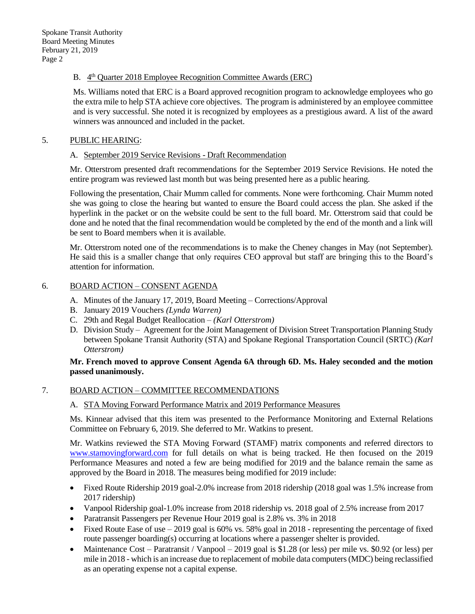## B. 4<sup>th</sup> Quarter 2018 Employee Recognition Committee Awards (ERC)

Ms. Williams noted that ERC is a Board approved recognition program to acknowledge employees who go the extra mile to help STA achieve core objectives. The program is administered by an employee committee and is very successful. She noted it is recognized by employees as a prestigious award. A list of the award winners was announced and included in the packet.

### 5. PUBLIC HEARING:

### A. September 2019 Service Revisions - Draft Recommendation

Mr. Otterstrom presented draft recommendations for the September 2019 Service Revisions. He noted the entire program was reviewed last month but was being presented here as a public hearing.

Following the presentation, Chair Mumm called for comments. None were forthcoming. Chair Mumm noted she was going to close the hearing but wanted to ensure the Board could access the plan. She asked if the hyperlink in the packet or on the website could be sent to the full board. Mr. Otterstrom said that could be done and he noted that the final recommendation would be completed by the end of the month and a link will be sent to Board members when it is available.

Mr. Otterstrom noted one of the recommendations is to make the Cheney changes in May (not September). He said this is a smaller change that only requires CEO approval but staff are bringing this to the Board's attention for information.

## 6. BOARD ACTION – CONSENT AGENDA

- A. Minutes of the January 17, 2019, Board Meeting Corrections/Approval
- B. January 2019 Vouchers *(Lynda Warren)*
- C. 29th and Regal Budget Reallocation *– (Karl Otterstrom)*
- D. Division Study Agreement for the Joint Management of Division Street Transportation Planning Study between Spokane Transit Authority (STA) and Spokane Regional Transportation Council (SRTC) *(Karl Otterstrom)*

## **Mr. French moved to approve Consent Agenda 6A through 6D. Ms. Haley seconded and the motion passed unanimously.**

### 7. BOARD ACTION – COMMITTEE RECOMMENDATIONS

### A. STA Moving Forward Performance Matrix and 2019 Performance Measures

Ms. Kinnear advised that this item was presented to the Performance Monitoring and External Relations Committee on February 6, 2019. She deferred to Mr. Watkins to present.

Mr. Watkins reviewed the STA Moving Forward (STAMF) matrix components and referred directors to [www.stamovingforward.com](http://www.stamovingforward.com/) for full details on what is being tracked. He then focused on the 2019 Performance Measures and noted a few are being modified for 2019 and the balance remain the same as approved by the Board in 2018. The measures being modified for 2019 include:

- Fixed Route Ridership 2019 goal-2.0% increase from 2018 ridership (2018 goal was 1.5% increase from 2017 ridership)
- Vanpool Ridership goal-1.0% increase from 2018 ridership vs. 2018 goal of 2.5% increase from 2017
- Paratransit Passengers per Revenue Hour 2019 goal is 2.8% vs. 3% in 2018
- Fixed Route Ease of use  $-2019$  goal is 60% vs. 58% goal in 2018 representing the percentage of fixed route passenger boarding(s) occurring at locations where a passenger shelter is provided.
- Maintenance Cost Paratransit / Vanpool 2019 goal is \$1.28 (or less) per mile vs. \$0.92 (or less) per mile in 2018 - which is an increase due to replacement of mobile data computers (MDC) being reclassified as an operating expense not a capital expense.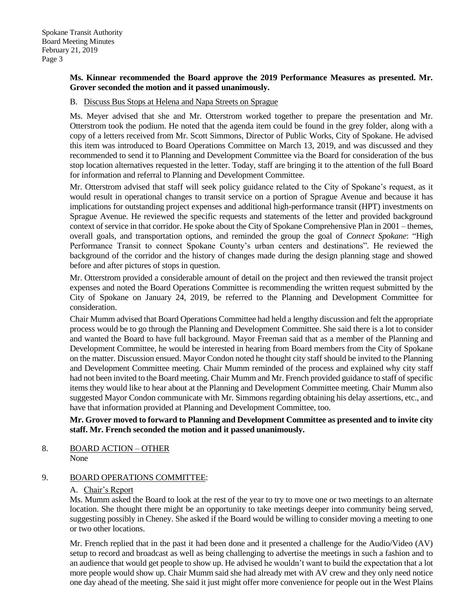## **Ms. Kinnear recommended the Board approve the 2019 Performance Measures as presented. Mr. Grover seconded the motion and it passed unanimously.**

## B. Discuss Bus Stops at Helena and Napa Streets on Sprague

Ms. Meyer advised that she and Mr. Otterstrom worked together to prepare the presentation and Mr. Otterstrom took the podium. He noted that the agenda item could be found in the grey folder, along with a copy of a letters received from Mr. Scott Simmons, Director of Public Works, City of Spokane. He advised this item was introduced to Board Operations Committee on March 13, 2019, and was discussed and they recommended to send it to Planning and Development Committee via the Board for consideration of the bus stop location alternatives requested in the letter. Today, staff are bringing it to the attention of the full Board for information and referral to Planning and Development Committee.

Mr. Otterstrom advised that staff will seek policy guidance related to the City of Spokane's request, as it would result in operational changes to transit service on a portion of Sprague Avenue and because it has implications for outstanding project expenses and additional high-performance transit (HPT) investments on Sprague Avenue. He reviewed the specific requests and statements of the letter and provided background context of service in that corridor. He spoke about the City of Spokane Comprehensive Plan in 2001 – themes, overall goals, and transportation options, and reminded the group the goal of *Connect Spokane*: "High Performance Transit to connect Spokane County's urban centers and destinations". He reviewed the background of the corridor and the history of changes made during the design planning stage and showed before and after pictures of stops in question.

Mr. Otterstrom provided a considerable amount of detail on the project and then reviewed the transit project expenses and noted the Board Operations Committee is recommending the written request submitted by the City of Spokane on January 24, 2019, be referred to the Planning and Development Committee for consideration.

Chair Mumm advised that Board Operations Committee had held a lengthy discussion and felt the appropriate process would be to go through the Planning and Development Committee. She said there is a lot to consider and wanted the Board to have full background. Mayor Freeman said that as a member of the Planning and Development Committee, he would be interested in hearing from Board members from the City of Spokane on the matter. Discussion ensued. Mayor Condon noted he thought city staff should be invited to the Planning and Development Committee meeting. Chair Mumm reminded of the process and explained why city staff had not been invited to the Board meeting. Chair Mumm and Mr. French provided guidance to staff of specific items they would like to hear about at the Planning and Development Committee meeting. Chair Mumm also suggested Mayor Condon communicate with Mr. Simmons regarding obtaining his delay assertions, etc., and have that information provided at Planning and Development Committee, too.

## **Mr. Grover moved to forward to Planning and Development Committee as presented and to invite city staff. Mr. French seconded the motion and it passed unanimously.**

8. BOARD ACTION – OTHER None

### 9. BOARD OPERATIONS COMMITTEE:

### A. Chair's Report

Ms. Mumm asked the Board to look at the rest of the year to try to move one or two meetings to an alternate location. She thought there might be an opportunity to take meetings deeper into community being served, suggesting possibly in Cheney. She asked if the Board would be willing to consider moving a meeting to one or two other locations.

Mr. French replied that in the past it had been done and it presented a challenge for the Audio/Video (AV) setup to record and broadcast as well as being challenging to advertise the meetings in such a fashion and to an audience that would get people to show up. He advised he wouldn't want to build the expectation that a lot more people would show up. Chair Mumm said she had already met with AV crew and they only need notice one day ahead of the meeting. She said it just might offer more convenience for people out in the West Plains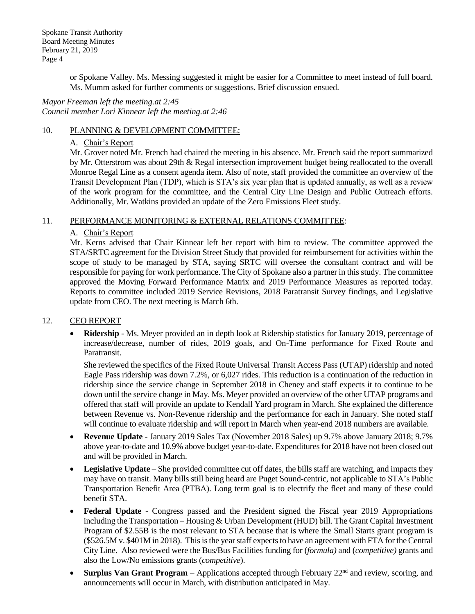Spokane Transit Authority Board Meeting Minutes February 21, 2019 Page 4

> or Spokane Valley. Ms. Messing suggested it might be easier for a Committee to meet instead of full board. Ms. Mumm asked for further comments or suggestions. Brief discussion ensued.

*Mayor Freeman left the meeting.at 2:45 Council member Lori Kinnear left the meeting.at 2:46*

### 10. PLANNING & DEVELOPMENT COMMITTEE:

### A. Chair's Report

Mr. Grover noted Mr. French had chaired the meeting in his absence. Mr. French said the report summarized by Mr. Otterstrom was about 29th & Regal intersection improvement budget being reallocated to the overall Monroe Regal Line as a consent agenda item. Also of note, staff provided the committee an overview of the Transit Development Plan (TDP), which is STA's six year plan that is updated annually, as well as a review of the work program for the committee, and the Central City Line Design and Public Outreach efforts. Additionally, Mr. Watkins provided an update of the Zero Emissions Fleet study.

### 11. PERFORMANCE MONITORING & EXTERNAL RELATIONS COMMITTEE:

### A. Chair's Report

Mr. Kerns advised that Chair Kinnear left her report with him to review. The committee approved the STA/SRTC agreement for the Division Street Study that provided for reimbursement for activities within the scope of study to be managed by STA, saying SRTC will oversee the consultant contract and will be responsible for paying for work performance. The City of Spokane also a partner in this study. The committee approved the Moving Forward Performance Matrix and 2019 Performance Measures as reported today. Reports to committee included 2019 Service Revisions, 2018 Paratransit Survey findings, and Legislative update from CEO. The next meeting is March 6th.

### 12. CEO REPORT

 **Ridership** - Ms. Meyer provided an in depth look at Ridership statistics for January 2019, percentage of increase/decrease, number of rides, 2019 goals, and On-Time performance for Fixed Route and Paratransit.

She reviewed the specifics of the Fixed Route Universal Transit Access Pass (UTAP) ridership and noted Eagle Pass ridership was down 7.2%, or 6,027 rides. This reduction is a continuation of the reduction in ridership since the service change in September 2018 in Cheney and staff expects it to continue to be down until the service change in May. Ms. Meyer provided an overview of the other UTAP programs and offered that staff will provide an update to Kendall Yard program in March. She explained the difference between Revenue vs. Non-Revenue ridership and the performance for each in January. She noted staff will continue to evaluate ridership and will report in March when year-end 2018 numbers are available.

- **Revenue Update** January 2019 Sales Tax (November 2018 Sales) up 9.7% above January 2018; 9.7% above year-to-date and 10.9% above budget year-to-date. Expenditures for 2018 have not been closed out and will be provided in March.
- **Legislative Update** She provided committee cut off dates, the bills staff are watching, and impacts they may have on transit. Many bills still being heard are Puget Sound-centric, not applicable to STA's Public Transportation Benefit Area (PTBA). Long term goal is to electrify the fleet and many of these could benefit STA.
- **Federal Update** Congress passed and the President signed the Fiscal year 2019 Appropriations including the Transportation – Housing & Urban Development (HUD) bill. The Grant Capital Investment Program of \$2.55B is the most relevant to STA because that is where the Small Starts grant program is (\$526.5M v. \$401M in 2018). This is the year staff expects to have an agreement with FTA for the Central City Line. Also reviewed were the Bus/Bus Facilities funding for (*formula)* and (*competitive)* grants and also the Low/No emissions grants (*competitive*).
- **Surplus Van Grant Program** Applications accepted through February  $22<sup>nd</sup>$  and review, scoring, and announcements will occur in March, with distribution anticipated in May.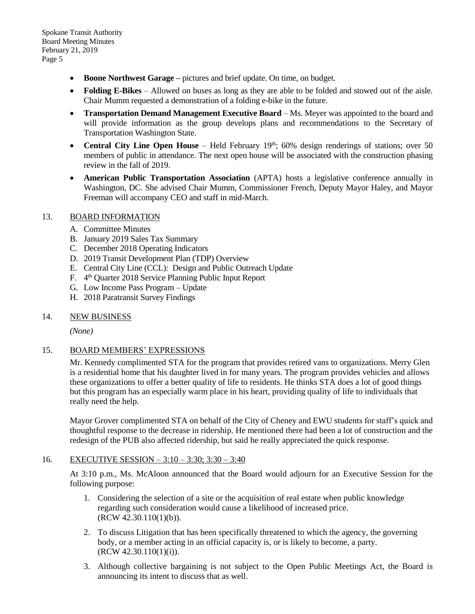Spokane Transit Authority Board Meeting Minutes February 21, 2019 Page 5

- **Boone Northwest Garage** pictures and brief update. On time, on budget.
- **Folding E-Bikes** Allowed on buses as long as they are able to be folded and stowed out of the aisle. Chair Mumm requested a demonstration of a folding e-bike in the future.
- **Transportation Demand Management Executive Board** Ms. Meyer was appointed to the board and will provide information as the group develops plans and recommendations to the Secretary of Transportation Washington State.
- **Central City Line Open House** Held February  $19<sup>th</sup>$ ; 60% design renderings of stations; over 50 members of public in attendance. The next open house will be associated with the construction phasing review in the fall of 2019.
- **American Public Transportation Association** (APTA) hosts a legislative conference annually in Washington, DC. She advised Chair Mumm, Commissioner French, Deputy Mayor Haley, and Mayor Freeman will accompany CEO and staff in mid-March.

## 13. BOARD INFORMATION

- A. Committee Minutes
- B. January 2019 Sales Tax Summary
- C. December 2018 Operating Indicators
- D. 2019 Transit Development Plan (TDP) Overview
- E. Central City Line (CCL): Design and Public Outreach Update
- F. 4<sup>th</sup> Quarter 2018 Service Planning Public Input Report
- G. Low Income Pass Program Update
- H. 2018 Paratransit Survey Findings

### 14. NEW BUSINESS

*(None)*

### 15. BOARD MEMBERS' EXPRESSIONS

Mr. Kennedy complimented STA for the program that provides retired vans to organizations. Merry Glen is a residential home that his daughter lived in for many years. The program provides vehicles and allows these organizations to offer a better quality of life to residents. He thinks STA does a lot of good things but this program has an especially warm place in his heart, providing quality of life to individuals that really need the help.

Mayor Grover complimented STA on behalf of the City of Cheney and EWU students for staff's quick and thoughtful response to the decrease in ridership. He mentioned there had been a lot of construction and the redesign of the PUB also affected ridership, but said he really appreciated the quick response.

#### 16. EXECUTIVE SESSION – 3:10 – 3:30; 3:30 – 3:40

At 3:10 p.m., Ms. McAloon announced that the Board would adjourn for an Executive Session for the following purpose:

- 1. Considering the selection of a site or the acquisition of real estate when public knowledge regarding such consideration would cause a likelihood of increased price. (RCW 42.30.110(1)(b)).
- 2. To discuss Litigation that has been specifically threatened to which the agency, the governing body, or a member acting in an official capacity is, or is likely to become, a party.  $(RCW 42.30.110(1)(i)).$
- 3. Although collective bargaining is not subject to the Open Public Meetings Act, the Board is announcing its intent to discuss that as well.